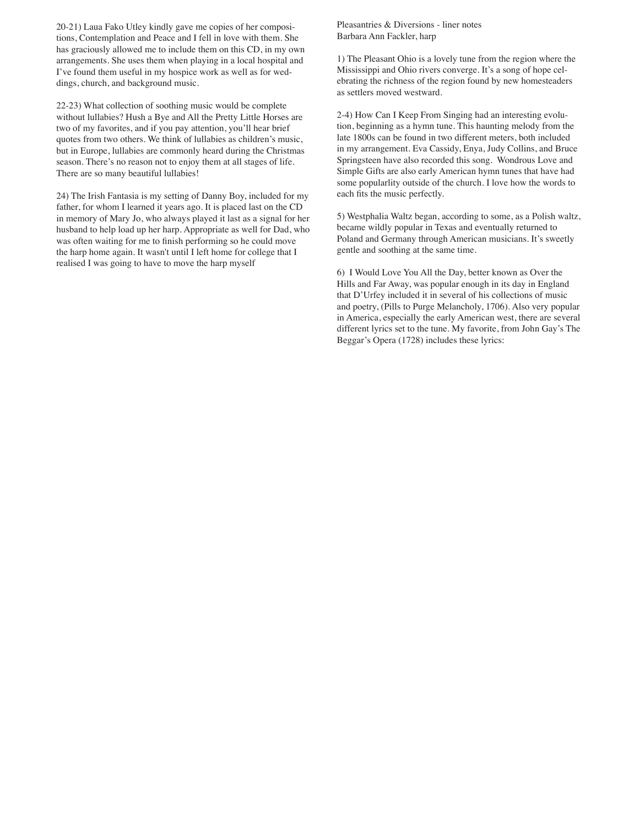20-21) Laua Fako Utley kindly gave me copies of her compositions, Contemplation and Peace and I fell in love with them. She has graciously allowed me to include them on this CD, in my own arrangements. She uses them when playing in a local hospital and I've found them useful in my hospice work as well as for weddings, church, and background music.

22-23) What collection of soothing music would be complete without lullabies? Hush a Bye and All the Pretty Little Horses are two of my favorites, and if you pay attention, you'll hear brief quotes from two others. We think of lullabies as children's music, but in Europe, lullabies are commonly heard during the Christmas season. There's no reason not to enjoy them at all stages of life. There are so many beautiful lullabies!

24) The Irish Fantasia is my setting of Danny Boy, included for my father, for whom I learned it years ago. It is placed last on the CD in memory of Mary Jo, who always played it last as a signal for her husband to help load up her harp. Appropriate as well for Dad, who was often waiting for me to finish performing so he could move the harp home again. It wasn't until I left home for college that I realised I was going to have to move the harp myself

Pleasantries & Diversions - liner notes Barbara Ann Fackler, harp

1) The Pleasant Ohio is a lovely tune from the region where the Mississippi and Ohio rivers converge. It's a song of hope celebrating the richness of the region found by new homesteaders as settlers moved westward.

2-4) How Can I Keep From Singing had an interesting evolution, beginning as a hymn tune. This haunting melody from the late 1800s can be found in two different meters, both included in my arrangement. Eva Cassidy, Enya, Judy Collins, and Bruce Springsteen have also recorded this song. Wondrous Love and Simple Gifts are also early American hymn tunes that have had some popularlity outside of the church. I love how the words to each fits the music perfectly.

5) Westphalia Waltz began, according to some, as a Polish waltz, became wildly popular in Texas and eventually returned to Poland and Germany through American musicians. It's sweetly gentle and soothing at the same time.

6) I Would Love You All the Day, better known as Over the Hills and Far Away, was popular enough in its day in England that D'Urfey included it in several of his collections of music and poetry, (Pills to Purge Melancholy, 1706). Also very popular in America, especially the early American west, there are several different lyrics set to the tune. My favorite, from John Gay's The Beggar's Opera (1728) includes these lyrics: